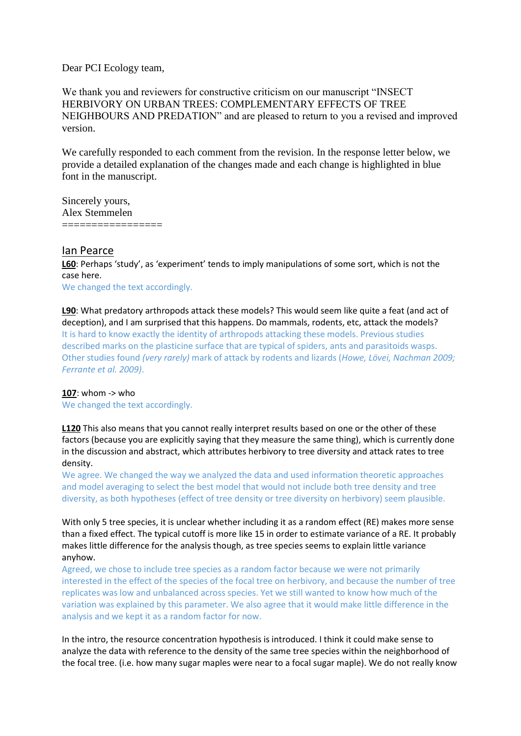Dear PCI Ecology team,

We thank you and reviewers for constructive criticism on our manuscript "INSECT HERBIVORY ON URBAN TREES: COMPLEMENTARY EFFECTS OF TREE NEIGHBOURS AND PREDATION" and are pleased to return to you a revised and improved version.

We carefully responded to each comment from the revision. In the response letter below, we provide a detailed explanation of the changes made and each change is highlighted in blue font in the manuscript.

Sincerely yours, Alex Stemmelen =================

## Ian Pearce

**L60**: Perhaps 'study', as 'experiment' tends to imply manipulations of some sort, which is not the case here.

We changed the text accordingly.

**L90**: What predatory arthropods attack these models? This would seem like quite a feat (and act of deception), and I am surprised that this happens. Do mammals, rodents, etc, attack the models? It is hard to know exactly the identity of arthropods attacking these models. Previous studies described marks on the plasticine surface that are typical of spiders, ants and parasitoids wasps. Other studies found *(very rarely)* mark of attack by rodents and lizards (*Howe, Lövei, Nachman 2009; Ferrante et al. 2009)*.

## **107**: whom -> who

We changed the text accordingly.

**L120** This also means that you cannot really interpret results based on one or the other of these factors (because you are explicitly saying that they measure the same thing), which is currently done in the discussion and abstract, which attributes herbivory to tree diversity and attack rates to tree density.

We agree. We changed the way we analyzed the data and used information theoretic approaches and model averaging to select the best model that would not include both tree density and tree diversity, as both hypotheses (effect of tree density or tree diversity on herbivory) seem plausible.

With only 5 tree species, it is unclear whether including it as a random effect (RE) makes more sense than a fixed effect. The typical cutoff is more like 15 in order to estimate variance of a RE. It probably makes little difference for the analysis though, as tree species seems to explain little variance anyhow.

Agreed, we chose to include tree species as a random factor because we were not primarily interested in the effect of the species of the focal tree on herbivory, and because the number of tree replicates was low and unbalanced across species. Yet we still wanted to know how much of the variation was explained by this parameter. We also agree that it would make little difference in the analysis and we kept it as a random factor for now.

In the intro, the resource concentration hypothesis is introduced. I think it could make sense to analyze the data with reference to the density of the same tree species within the neighborhood of the focal tree. (i.e. how many sugar maples were near to a focal sugar maple). We do not really know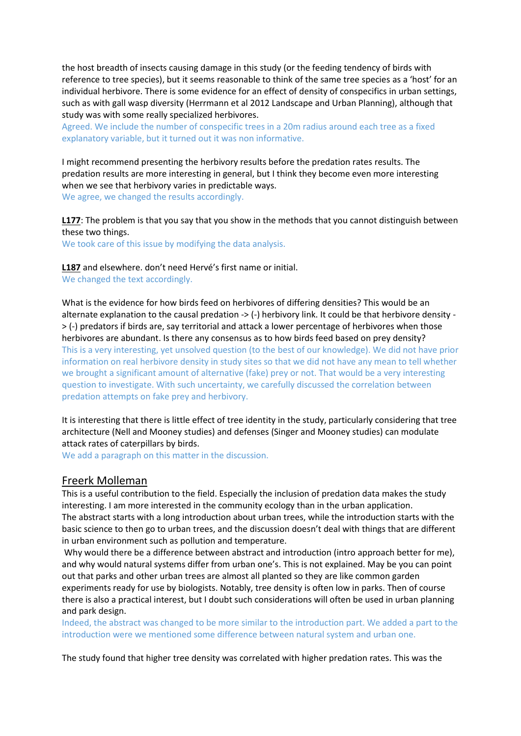the host breadth of insects causing damage in this study (or the feeding tendency of birds with reference to tree species), but it seems reasonable to think of the same tree species as a 'host' for an individual herbivore. There is some evidence for an effect of density of conspecifics in urban settings, such as with gall wasp diversity (Herrmann et al 2012 Landscape and Urban Planning), although that study was with some really specialized herbivores.

Agreed. We include the number of conspecific trees in a 20m radius around each tree as a fixed explanatory variable, but it turned out it was non informative.

I might recommend presenting the herbivory results before the predation rates results. The predation results are more interesting in general, but I think they become even more interesting when we see that herbivory varies in predictable ways.

We agree, we changed the results accordingly.

**L177**: The problem is that you say that you show in the methods that you cannot distinguish between these two things.

We took care of this issue by modifying the data analysis.

**L187** and elsewhere. don't need Hervé's first name or initial. We changed the text accordingly.

What is the evidence for how birds feed on herbivores of differing densities? This would be an alternate explanation to the causal predation -> (-) herbivory link. It could be that herbivore density - > (-) predators if birds are, say territorial and attack a lower percentage of herbivores when those herbivores are abundant. Is there any consensus as to how birds feed based on prey density? This is a very interesting, yet unsolved question (to the best of our knowledge). We did not have prior information on real herbivore density in study sites so that we did not have any mean to tell whether we brought a significant amount of alternative (fake) prey or not. That would be a very interesting question to investigate. With such uncertainty, we carefully discussed the correlation between predation attempts on fake prey and herbivory.

It is interesting that there is little effect of tree identity in the study, particularly considering that tree architecture (Nell and Mooney studies) and defenses (Singer and Mooney studies) can modulate attack rates of caterpillars by birds.

We add a paragraph on this matter in the discussion.

## Freerk Molleman

This is a useful contribution to the field. Especially the inclusion of predation data makes the study interesting. I am more interested in the community ecology than in the urban application. The abstract starts with a long introduction about urban trees, while the introduction starts with the basic science to then go to urban trees, and the discussion doesn't deal with things that are different in urban environment such as pollution and temperature.

Why would there be a difference between abstract and introduction (intro approach better for me), and why would natural systems differ from urban one's. This is not explained. May be you can point out that parks and other urban trees are almost all planted so they are like common garden experiments ready for use by biologists. Notably, tree density is often low in parks. Then of course there is also a practical interest, but I doubt such considerations will often be used in urban planning and park design.

Indeed, the abstract was changed to be more similar to the introduction part. We added a part to the introduction were we mentioned some difference between natural system and urban one.

The study found that higher tree density was correlated with higher predation rates. This was the